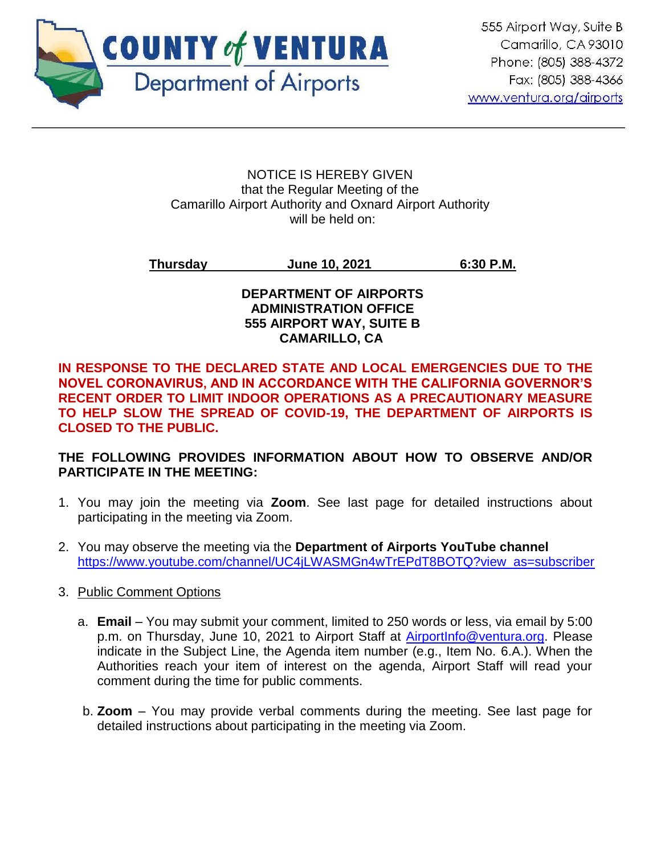

#### NOTICE IS HEREBY GIVEN that the Regular Meeting of the Camarillo Airport Authority and Oxnard Airport Authority will be held on:

# **Thursday June 10, 2021 6:30 P.M.**

#### **DEPARTMENT OF AIRPORTS ADMINISTRATION OFFICE 555 AIRPORT WAY, SUITE B CAMARILLO, CA**

**IN RESPONSE TO THE DECLARED STATE AND LOCAL EMERGENCIES DUE TO THE NOVEL CORONAVIRUS, AND IN ACCORDANCE WITH THE CALIFORNIA GOVERNOR'S RECENT ORDER TO LIMIT INDOOR OPERATIONS AS A PRECAUTIONARY MEASURE TO HELP SLOW THE SPREAD OF COVID-19, THE DEPARTMENT OF AIRPORTS IS CLOSED TO THE PUBLIC.** 

# **THE FOLLOWING PROVIDES INFORMATION ABOUT HOW TO OBSERVE AND/OR PARTICIPATE IN THE MEETING:**

- 1. You may join the meeting via **Zoom**. See last page for detailed instructions about participating in the meeting via Zoom.
- 2. You may observe the meeting via the **Department of Airports YouTube channel** [https://www.youtube.com/channel/UC4jLWASMGn4wTrEPdT8BOTQ?view\\_as=subscriber](https://www.youtube.com/channel/UC4jLWASMGn4wTrEPdT8BOTQ?view_as=subscriber)

# 3. Public Comment Options

- a. **Email**  You may submit your comment, limited to 250 words or less, via email by 5:00 p.m. on Thursday, June 10, 2021 to Airport Staff at [AirportInfo@ventura.org.](mailto:AirportInfo@ventura.org) Please indicate in the Subject Line, the Agenda item number (e.g., Item No. 6.A.). When the Authorities reach your item of interest on the agenda, Airport Staff will read your comment during the time for public comments.
- b. **Zoom** You may provide verbal comments during the meeting. See last page for detailed instructions about participating in the meeting via Zoom.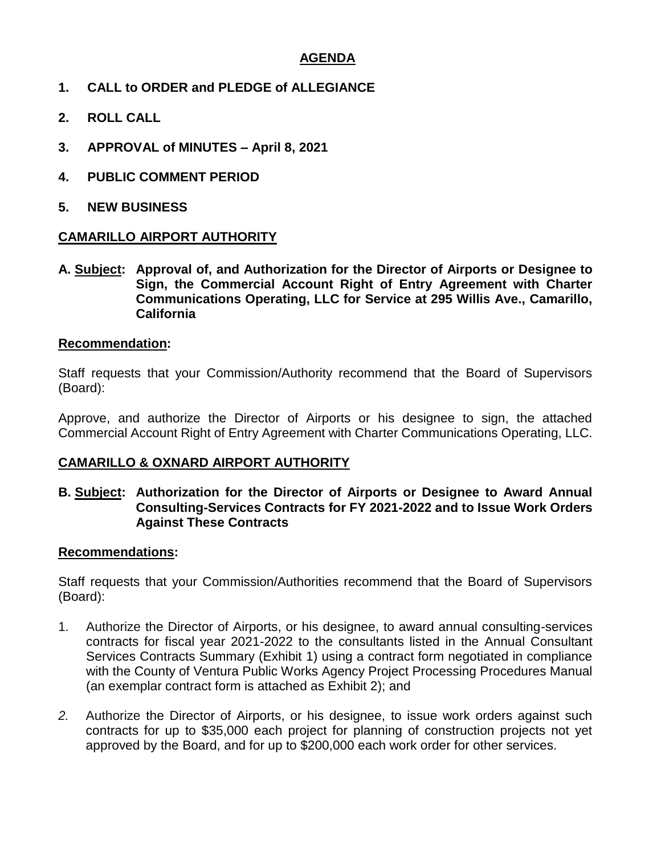## **AGENDA**

- **1. CALL to ORDER and PLEDGE of ALLEGIANCE**
- **2. ROLL CALL**
- **3. APPROVAL of MINUTES – April 8, 2021**
- **4. PUBLIC COMMENT PERIOD**
- **5. NEW BUSINESS**

#### **CAMARILLO AIRPORT AUTHORITY**

**A. Subject: Approval of, and Authorization for the Director of Airports or Designee to Sign, the Commercial Account Right of Entry Agreement with Charter Communications Operating, LLC for Service at 295 Willis Ave., Camarillo, California**

#### **Recommendation:**

Staff requests that your Commission/Authority recommend that the Board of Supervisors (Board):

Approve, and authorize the Director of Airports or his designee to sign, the attached Commercial Account Right of Entry Agreement with Charter Communications Operating, LLC.

#### **CAMARILLO & OXNARD AIRPORT AUTHORITY**

#### **B. Subject: Authorization for the Director of Airports or Designee to Award Annual Consulting-Services Contracts for FY 2021-2022 and to Issue Work Orders Against These Contracts**

#### **Recommendations:**

Staff requests that your Commission/Authorities recommend that the Board of Supervisors (Board):

- 1. Authorize the Director of Airports, or his designee, to award annual consulting-services contracts for fiscal year 2021-2022 to the consultants listed in the Annual Consultant Services Contracts Summary (Exhibit 1) using a contract form negotiated in compliance with the County of Ventura Public Works Agency Project Processing Procedures Manual (an exemplar contract form is attached as Exhibit 2); and
- *2.* Authorize the Director of Airports, or his designee, to issue work orders against such contracts for up to \$35,000 each project for planning of construction projects not yet approved by the Board, and for up to \$200,000 each work order for other services.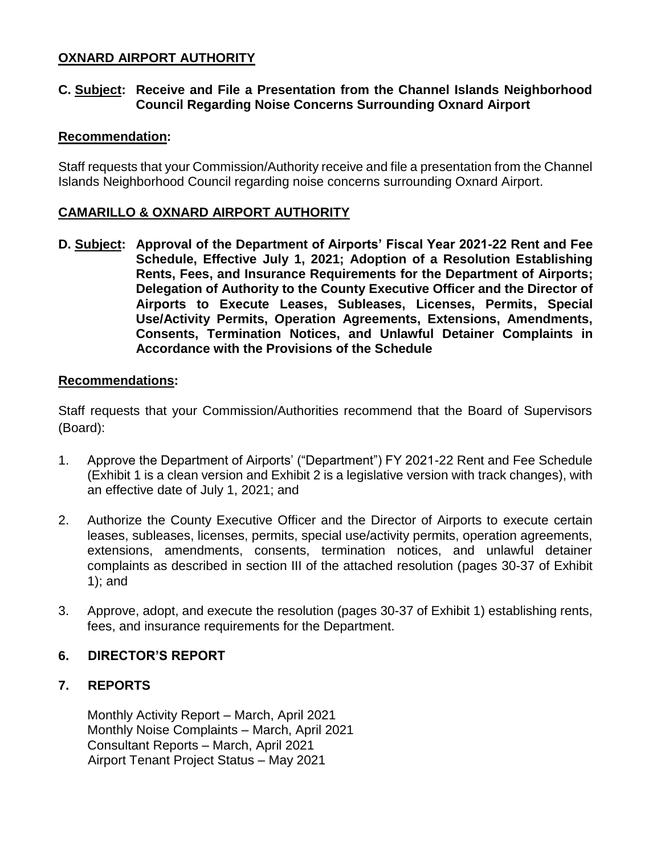# **OXNARD AIRPORT AUTHORITY**

#### **C. Subject: Receive and File a Presentation from the Channel Islands Neighborhood Council Regarding Noise Concerns Surrounding Oxnard Airport**

#### **Recommendation:**

Staff requests that your Commission/Authority receive and file a presentation from the Channel Islands Neighborhood Council regarding noise concerns surrounding Oxnard Airport.

#### **CAMARILLO & OXNARD AIRPORT AUTHORITY**

**D. Subject: Approval of the Department of Airports' Fiscal Year 2021-22 Rent and Fee Schedule, Effective July 1, 2021; Adoption of a Resolution Establishing Rents, Fees, and Insurance Requirements for the Department of Airports; Delegation of Authority to the County Executive Officer and the Director of Airports to Execute Leases, Subleases, Licenses, Permits, Special Use/Activity Permits, Operation Agreements, Extensions, Amendments, Consents, Termination Notices, and Unlawful Detainer Complaints in Accordance with the Provisions of the Schedule**

#### **Recommendations:**

Staff requests that your Commission/Authorities recommend that the Board of Supervisors (Board):

- 1. Approve the Department of Airports' ("Department") FY 2021-22 Rent and Fee Schedule (Exhibit 1 is a clean version and Exhibit 2 is a legislative version with track changes), with an effective date of July 1, 2021; and
- 2. Authorize the County Executive Officer and the Director of Airports to execute certain leases, subleases, licenses, permits, special use/activity permits, operation agreements, extensions, amendments, consents, termination notices, and unlawful detainer complaints as described in section III of the attached resolution (pages 30-37 of Exhibit 1); and
- 3. Approve, adopt, and execute the resolution (pages 30-37 of Exhibit 1) establishing rents, fees, and insurance requirements for the Department.

#### **6. DIRECTOR'S REPORT**

#### **7. REPORTS**

Monthly Activity Report – March, April 2021 Monthly Noise Complaints – March, April 2021 Consultant Reports – March, April 2021 Airport Tenant Project Status – May 2021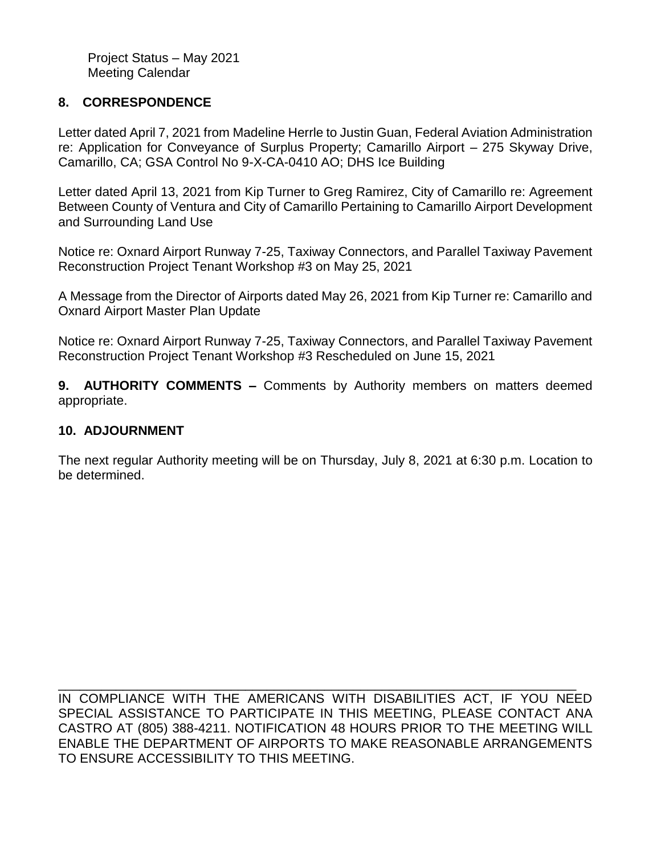Project Status – May 2021 Meeting Calendar

# **8. CORRESPONDENCE**

Letter dated April 7, 2021 from Madeline Herrle to Justin Guan, Federal Aviation Administration re: Application for Conveyance of Surplus Property; Camarillo Airport – 275 Skyway Drive, Camarillo, CA; GSA Control No 9-X-CA-0410 AO; DHS Ice Building

Letter dated April 13, 2021 from Kip Turner to Greg Ramirez, City of Camarillo re: Agreement Between County of Ventura and City of Camarillo Pertaining to Camarillo Airport Development and Surrounding Land Use

Notice re: Oxnard Airport Runway 7-25, Taxiway Connectors, and Parallel Taxiway Pavement Reconstruction Project Tenant Workshop #3 on May 25, 2021

A Message from the Director of Airports dated May 26, 2021 from Kip Turner re: Camarillo and Oxnard Airport Master Plan Update

Notice re: Oxnard Airport Runway 7-25, Taxiway Connectors, and Parallel Taxiway Pavement Reconstruction Project Tenant Workshop #3 Rescheduled on June 15, 2021

**9. AUTHORITY COMMENTS –** Comments by Authority members on matters deemed appropriate.

#### **10. ADJOURNMENT**

The next regular Authority meeting will be on Thursday, July 8, 2021 at 6:30 p.m. Location to be determined.

\_\_\_\_\_\_\_\_\_\_\_\_\_\_\_\_\_\_\_\_\_\_\_\_\_\_\_\_\_\_\_\_\_\_\_\_\_\_\_\_\_\_\_\_\_\_\_\_\_\_\_\_\_\_\_\_\_\_\_\_\_\_\_\_\_\_\_\_\_\_\_\_ IN COMPLIANCE WITH THE AMERICANS WITH DISABILITIES ACT, IF YOU NEED SPECIAL ASSISTANCE TO PARTICIPATE IN THIS MEETING, PLEASE CONTACT ANA CASTRO AT (805) 388-4211. NOTIFICATION 48 HOURS PRIOR TO THE MEETING WILL ENABLE THE DEPARTMENT OF AIRPORTS TO MAKE REASONABLE ARRANGEMENTS TO ENSURE ACCESSIBILITY TO THIS MEETING.